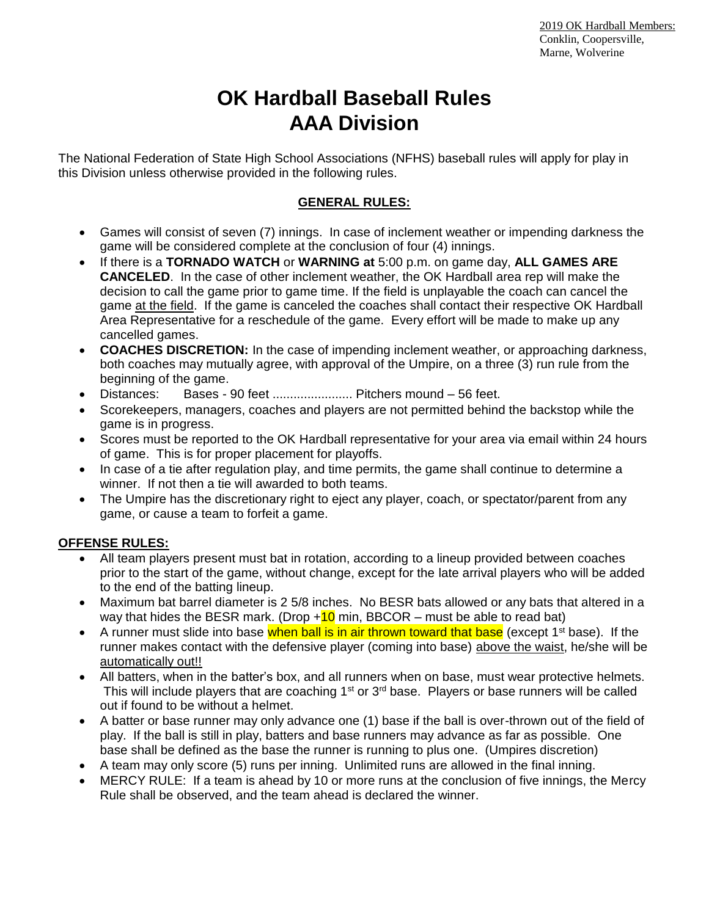# **OK Hardball Baseball Rules AAA Division**

The National Federation of State High School Associations (NFHS) baseball rules will apply for play in this Division unless otherwise provided in the following rules.

## **GENERAL RULES:**

- Games will consist of seven (7) innings. In case of inclement weather or impending darkness the game will be considered complete at the conclusion of four (4) innings.
- If there is a **TORNADO WATCH** or **WARNING at** 5:00 p.m. on game day, **ALL GAMES ARE CANCELED**. In the case of other inclement weather, the OK Hardball area rep will make the decision to call the game prior to game time. If the field is unplayable the coach can cancel the game at the field. If the game is canceled the coaches shall contact their respective OK Hardball Area Representative for a reschedule of the game. Every effort will be made to make up any cancelled games.
- **COACHES DISCRETION:** In the case of impending inclement weather, or approaching darkness, both coaches may mutually agree, with approval of the Umpire, on a three (3) run rule from the beginning of the game.
- Distances: Bases 90 feet ........................... Pitchers mound 56 feet.
- Scorekeepers, managers, coaches and players are not permitted behind the backstop while the game is in progress.
- Scores must be reported to the OK Hardball representative for your area via email within 24 hours of game. This is for proper placement for playoffs.
- In case of a tie after regulation play, and time permits, the game shall continue to determine a winner. If not then a tie will awarded to both teams.
- The Umpire has the discretionary right to eject any player, coach, or spectator/parent from any game, or cause a team to forfeit a game.

### **OFFENSE RULES:**

- All team players present must bat in rotation, according to a lineup provided between coaches prior to the start of the game, without change, except for the late arrival players who will be added to the end of the batting lineup.
- Maximum bat barrel diameter is 2 5/8 inches. No BESR bats allowed or any bats that altered in a way that hides the BESR mark. (Drop  $+10$  min, BBCOR – must be able to read bat)
- A runner must slide into base when ball is in air thrown toward that base (except  $1^{st}$  base). If the runner makes contact with the defensive player (coming into base) above the waist, he/she will be automatically out!!
- All batters, when in the batter's box, and all runners when on base, must wear protective helmets. This will include players that are coaching  $1<sup>st</sup>$  or  $3<sup>rd</sup>$  base. Players or base runners will be called out if found to be without a helmet.
- A batter or base runner may only advance one (1) base if the ball is over-thrown out of the field of play. If the ball is still in play, batters and base runners may advance as far as possible. One base shall be defined as the base the runner is running to plus one. (Umpires discretion)
- A team may only score (5) runs per inning. Unlimited runs are allowed in the final inning.
- MERCY RULE: If a team is ahead by 10 or more runs at the conclusion of five innings, the Mercy Rule shall be observed, and the team ahead is declared the winner.